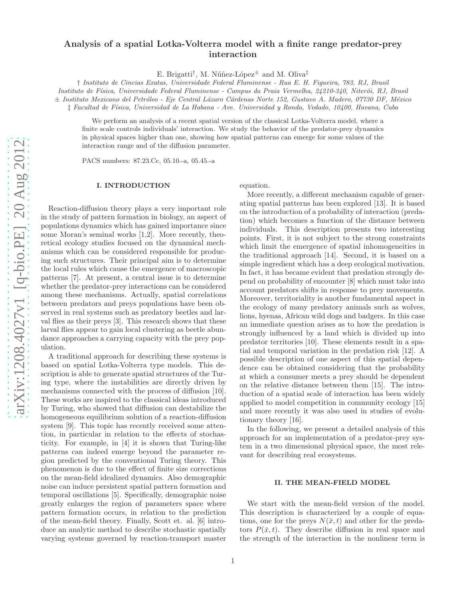# Analysis of a spatial Lotka-Volterra model with a finite range predator-prey interaction

E. Brigatti<sup>†</sup>, M. Núñez-López<sup> $\pm$ </sup> and M. Oliva<sup>‡</sup>

† *Instituto de Cincias Exatas, Universidade Federal Fluminense - Rua E. H. Figueira, 783, RJ, Brasil*

*Instituto de F´ısica, Universidade Federal Fluminense - Campus da Praia Vermelha, 24210-340, Niter´oi, RJ, Brasil*

± *Instituto Mexicano del Petr´oleo - Eje Central L´azaro C´ardenas Norte 152, Gustavo A. Madero, 07730 DF, M´exico*

‡ *Facultad de F´ısica, Universidad de La Habana - Ave. Universidad y Ronda, Vedado, 10400, Havana, Cuba*

We perform an analysis of a recent spatial version of the classical Lotka-Volterra model, where a finite scale controls individuals' interaction. We study the behavior of the predator-prey dynamics in physical spaces higher than one, showing how spatial patterns can emerge for some values of the interaction range and of the diffusion parameter.

PACS numbers: 87.23.Cc, 05.10.-a, 05.45.-a

## I. INTRODUCTION

Reaction-diffusion theory plays a very important role in the study of pattern formation in biology, an aspect of populations dynamics which has gained importance since some Moran's seminal works [1,2]. More recently, theoretical ecology studies focused on the dynamical mechanisms which can be considered responsible for producing such structures. Their principal aim is to determine the local rules which cause the emergence of macroscopic patterns [7]. At present, a central issue is to determine whether the predator-prey interactions can be considered among these mechanisms. Actually, spatial correlations between predators and preys populations have been observed in real systems such as predatory beetles and larval flies as their preys [3]. This research shows that these larval flies appear to gain local clustering as beetle abundance approaches a carrying capacity with the prey population.

A traditional approach for describing these systems is based on spatial Lotka-Volterra type models. This description is able to generate spatial structures of the Turing type, where the instabilities are directly driven by mechanisms connected with the process of diffusion [10]. These works are inspired to the classical ideas introduced by Turing, who showed that diffusion can destabilize the homogeneous equilibrium solution of a reaction-diffusion system [9]. This topic has recently received some attention, in particular in relation to the effects of stochasticity. For example, in [4] it is shown that Turing-like patterns can indeed emerge beyond the parameter region predicted by the conventional Turing theory. This phenomenon is due to the effect of finite size corrections on the mean-field idealized dynamics. Also demographic noise can induce persistent spatial pattern formation and temporal oscillations [5]. Specifically, demographic noise greatly enlarges the region of parameters space where pattern formation occurs, in relation to the prediction of the mean-field theory. Finally, Scott et. al. [6] introduce an analytic method to describe stochastic spatially varying systems governed by reaction-transport master

equation.

More recently, a different mechanism capable of generating spatial patterns has been explored [13]. It is based on the introduction of a probability of interaction (predation) which becomes a function of the distance between individuals. This description presents two interesting points. First, it is not subject to the strong constraints which limit the emergence of spatial inhomogeneities in the traditional approach [14]. Second, it is based on a simple ingredient which has a deep ecological motivation. In fact, it has became evident that predation strongly depend on probability of encounter [8] which must take into account predators shifts in response to prey movements. Moreover, territoriality is another fundamental aspect in the ecology of many predatory animals such as wolves, lions, hyenas, African wild dogs and badgers. In this case an immediate question arises as to how the predation is strongly influenced by a land which is divided up into predator territories [10]. These elements result in a spatial and temporal variation in the predation risk [12]. A possible description of one aspect of this spatial dependence can be obtained considering that the probability at which a consumer meets a prey should be dependent on the relative distance between them [15]. The introduction of a spatial scale of interaction has been widely applied to model competition in community ecology [15] and more recently it was also used in studies of evolutionary theory [16].

In the following, we present a detailed analysis of this approach for an implementation of a predator-prey system in a two dimensional physical space, the most relevant for describing real ecosystems.

#### II. THE MEAN-FIELD MODEL

We start with the mean-field version of the model. This description is characterized by a couple of equations, one for the preys  $N(\bar{x}, t)$  and other for the predators  $P(\bar{x}, t)$ . They describe diffusion in real space and the strength of the interaction in the nonlinear term is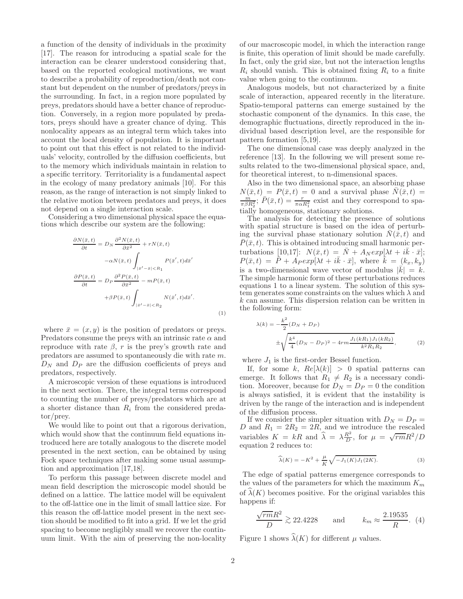a function of the density of individuals in the proximity [17]. The reason for introducing a spatial scale for the interaction can be clearer understood considering that, based on the reported ecological motivations, we want to describe a probability of reproduction/death not constant but dependent on the number of predators/preys in the surrounding. In fact, in a region more populated by preys, predators should have a better chance of reproduction. Conversely, in a region more populated by predators, preys should have a greater chance of dying. This nonlocality appears as an integral term which takes into account the local density of population. It is important to point out that this effect is not related to the individuals' velocity, controlled by the diffusion coefficients, but to the memory which individuals maintain in relation to a specific territory. Territoriality is a fundamental aspect in the ecology of many predatory animals [10]. For this reason, as the range of interaction is not simply linked to the relative motion between predators and preys, it does not depend on a single interaction scale.

Considering a two dimensional physical space the equations which describe our system are the following:

$$
\frac{\partial N(\bar{x},t)}{\partial t} = D_N \frac{\partial^2 N(\bar{x},t)}{\partial \bar{x}^2} + rN(\bar{x},t)
$$

$$
-\alpha N(\bar{x},t) \int_{|\bar{x}'-\bar{x}|
$$
\frac{\partial P(\bar{x},t)}{\partial t} = D_P \frac{\partial^2 P(\bar{x},t)}{\partial \bar{x}^2} - mP(\bar{x},t)
$$

$$
+ \beta P(\bar{x},t) \int_{|\bar{x}'-\bar{x}|
$$
$$

where  $\bar{x} = (x, y)$  is the position of predators or preys. Predators consume the preys with an intrinsic rate  $\alpha$  and reproduce with rate  $\beta$ , r is the prey's growth rate and predators are assumed to spontaneously die with rate m.  $D_N$  and  $D_P$  are the diffusion coefficients of preys and predators, respectively.

A microscopic version of these equations is introduced in the next section. There, the integral terms correspond to counting the number of preys/predators which are at a shorter distance than  $R_i$  from the considered predator/prey.

We would like to point out that a rigorous derivation, which would show that the continuum field equations introduced here are totally analogous to the discrete model presented in the next section, can be obtained by using Fock space techniques after making some usual assumption and approximation [17,18].

To perform this passage between discrete model and mean field description the microscopic model should be defined on a lattice. The lattice model will be equivalent to the off-lattice one in the limit of small lattice size. For this reason the off-lattice model present in the next section should be modified to fit into a grid. If we let the grid spacing to become negligibly small we recover the continuum limit. With the aim of preserving the non-locality

of our macroscopic model, in which the interaction range is finite, this operation of limit should be made carefully. In fact, only the grid size, but not the interaction lengths  $R_i$  should vanish. This is obtained fixing  $R_i$  to a finite value when going to the continuum.

Analogous models, but not characterized by a finite scale of interaction, appeared recently in the literature. Spatio-temporal patterns can emerge sustained by the stochastic component of the dynamics. In this case, the demographic fluctuations, directly reproduced in the individual based description level, are the responsible for pattern formation [5,19].

The one dimensional case was deeply analyzed in the reference [13]. In the following we will present some results related to the two-dimensional physical space, and, for theoretical interest, to n-dimensional spaces.

Also in the two dimensional space, an absorbing phase  $N(\bar{x}, t) = P(\bar{x}, t) = 0$  and a survival phase  $\bar{N}(\bar{x}, t) = \frac{m}{\pi \beta R_2^2}$ ;  $\bar{P}(\bar{x}, t) = \frac{r}{\pi \alpha R_1^2}$  exist and they correspond to spatially homogeneous, stationary solutions.

The analysis for detecting the presence of solutions with spatial structure is based on the idea of perturbing the survival phase stationary solution  $\bar{N}(\bar{x}, t)$  and  $\overline{P}(\bar{x}, t)$ . This is obtained introducing small harmonic perturbations [10,17]:  $N(\bar{x}, t) = \bar{N} + A_N exp[\lambda t + i\bar{k} \cdot \bar{x}];$  $P(\bar{x}, t) = \bar{P} + A_P exp[\lambda t + i\bar{k} \cdot \bar{x}],$  where  $\bar{k} = (k_x, k_y)$ is a two-dimensional wave vector of modulus  $|\vec{k}| = k$ . The simple harmonic form of these perturbations reduces equations 1 to a linear system. The solution of this system generates some constraints on the values which  $\lambda$  and k can assume. This dispersion relation can be written in the following form:

$$
\lambda(k) = -\frac{k^2}{2}(D_N + D_P)
$$
  
 
$$
\pm \sqrt{\frac{k^4}{4}(D_N - D_P)^2 - 4rm \frac{J_1(kR_1)J_1(kR_2)}{k^2 R_1 R_2}},
$$
 (2)

where  $J_1$  is the first-order Bessel function.

If, for some k,  $Re[\lambda(k)] > 0$  spatial patterns can emerge. It follows that  $R_1 \neq R_2$  is a necessary condition. Moreover, because for  $D_N = D_P = 0$  the condition is always satisfied, it is evident that the instability is driven by the range of the interaction and is independent of the diffusion process.

If we consider the simpler situation with  $D_N = D_P =$ D and  $R_1 = 2R_2 = 2R$ , and we introduce the rescaled variables  $K = kR$  and  $\hat{\lambda} = \lambda \frac{R^2}{D}$  $\frac{R^2}{D}$ , for  $\mu = \sqrt{rm}R^2/D$ equation 2 reduces to:

$$
\widehat{\lambda}(K) = -K^2 + \frac{\mu}{K} \sqrt{-J_1(K)J_1(2K)}.
$$
\n(3)

The edge of spatial patterns emergence corresponds to the values of the parameters for which the maximum  $K_m$ of  $\lambda(K)$  becomes positive. For the original variables this happens if:

$$
\frac{\sqrt{rm}R^2}{D} \gtrsim 22.4228 \qquad \text{and} \qquad k_m \approx \frac{2.19535}{R}. \tag{4}
$$

Figure 1 shows  $\widehat{\lambda}(K)$  for different  $\mu$  values.

(1)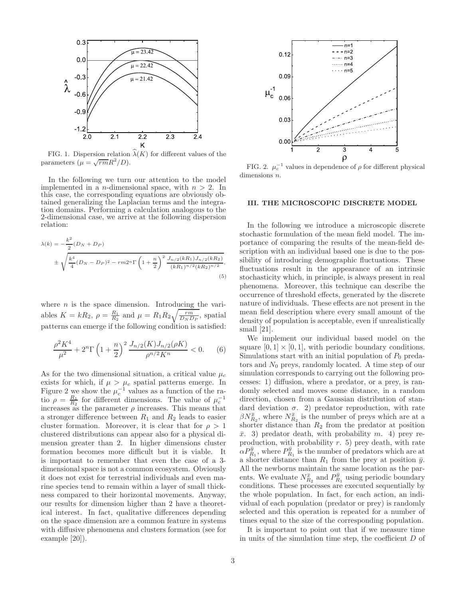

FIG. 1. Dispersion relation  $\widehat{\lambda}(K)$  for different values of the parameters  $\mu = \sqrt{rm}R^2/D$ .

In the following we turn our attention to the model implemented in a *n*-dimensional space, with  $n > 2$ . In this case, the corresponding equations are obviously obtained generalizing the Laplacian terms and the integration domains. Performing a calculation analogous to the 2-dimensional case, we arrive at the following dispersion relation:

$$
\lambda(k) = -\frac{k^2}{2}(D_N + D_P)
$$
  

$$
\pm \sqrt{\frac{k^4}{4}(D_N - D_P)^2 - rm 2^n \Gamma \left(1 + \frac{n}{2}\right)^2} \frac{J_{n/2}(kR_1)J_{n/2}(kR_2)}{(kR_1)^{n/2}(kR_2)^{n/2}},
$$
  
(5)

where  $n$  is the space dimension. Introducing the variables  $K = kR_2$ ,  $\rho = \frac{R_1}{R_2}$  and  $\mu = R_1 R_2 \sqrt{\frac{rm}{D_N D_P}}$ , spatial patterns can emerge if the following condition is satisfied:

$$
\frac{\rho^2 K^4}{\mu^2} + 2^n \Gamma \left( 1 + \frac{n}{2} \right)^2 \frac{J_{n/2}(K) J_{n/2}(\rho K)}{\rho^{n/2} K^n} < 0. \tag{6}
$$

As for the two dimensional situation, a critical value  $\mu_c$ exists for which, if  $\mu > \mu_c$  spatial patterns emerge. In Figure 2 we show the  $\mu_c^{-1}$  values as a function of the ratio  $\rho = \frac{R_1}{R_2}$  for different dimensions. The value of  $\mu_c^{-1}$  increases as the parameter  $\rho$  increases. This means that a stronger difference between  $R_1$  and  $R_2$  leads to easier cluster formation. Moreover, it is clear that for  $\rho > 1$ clustered distributions can appear also for a physical dimension greater than 2. In higher dimensions cluster formation becomes more difficult but it is viable. It is important to remember that even the case of a 3 dimensional space is not a common ecosystem. Obviously it does not exist for terrestrial individuals and even marine species tend to remain within a layer of small thickness compared to their horizontal movements. Anyway, our results for dimension higher than 2 have a theoretical interest. In fact, qualitative differences depending on the space dimension are a common feature in systems with diffusive phenomena and clusters formation (see for example [20]).



FIG. 2.  $\mu_c^{-1}$  values in dependence of  $\rho$  for different physical dimensions  $n$ .

### III. THE MICROSCOPIC DISCRETE MODEL

In the following we introduce a microscopic discrete stochastic formulation of the mean field model. The importance of comparing the results of the mean-field description with an individual based one is due to the possibility of introducing demographic fluctuations. These fluctuations result in the appearance of an intrinsic stochasticity which, in principle, is always present in real phenomena. Moreover, this technique can describe the occurrence of threshold effects, generated by the discrete nature of individuals. These effects are not present in the mean field description where every small amount of the density of population is acceptable, even if unrealistically small [21].

We implement our individual based model on the square  $[0, 1] \times [0, 1]$ , with periodic boundary conditions. Simulations start with an initial population of  $P_0$  predators and  $N_0$  preys, randomly located. A time step of our simulation corresponds to carrying out the following processes: 1) diffusion, where a predator, or a prey, is randomly selected and moves some distance, in a random direction, chosen from a Gaussian distribution of standard deviation  $\sigma$ . 2) predator reproduction, with rate  $\beta N_{R_2}^{\bar x},$  where  $N_{R_2}^{\bar x}$  is the number of preys which are at a shorter distance than  $R_2$  from the predator at position  $\bar{x}$ . 3) predator death, with probability m. 4) prey reproduction, with probability  $r$ . 5) prey death, with rate  $\alpha P_{R_1}^{\bar{y}}$ , where  $P_{R_1}^{\bar{y}}$  is the number of predators which are at a shorter distance than  $R_1$  from the prey at position  $\bar{y}$ . All the newborns maintain the same location as the parents. We evaluate  $N_{R_2}^{\bar{x}}$  and  $P_{R_1}^{\bar{y}}$  using periodic boundary conditions. These processes are executed sequentially by the whole population. In fact, for each action, an individual of each population (predator or prey) is randomly selected and this operation is repeated for a number of times equal to the size of the corresponding population.

It is important to point out that if we measure time in units of the simulation time step, the coefficient D of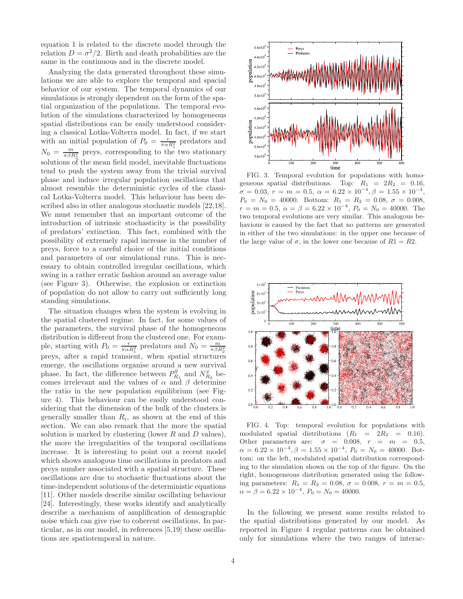equation 1 is related to the discrete model through the relation  $D = \sigma^2/2$ . Birth and death probabilities are the same in the continuous and in the discrete model.

Analyzing the data generated throughout these simulations we are able to explore the temporal and spacial behavior of our system. The temporal dynamics of our simulations is strongly dependent on the form of the spatial organization of the populations. The temporal evolution of the simulations characterized by homogeneous spatial distributions can be easily understood considering a classical Lotka-Volterra model. In fact, if we start with an initial population of  $P_0 = \frac{r}{\pi \alpha R_1^2}$  predators and  $N_0 = \frac{m}{\pi \beta R_2^2}$  preys, corresponding to the two stationary solutions of the mean field model, inevitable fluctuations tend to push the system away from the trivial survival phase and induce irregular population oscillations that almost resemble the deterministic cycles of the classical Lotka-Volterra model. This behaviour has been described also in other analogous stochastic models [22,18]. We must remember that an important outcome of the introduction of intrinsic stochasticity is the possibility of predators' extinction. This fact, combined with the possibility of extremely rapid increase in the number of preys, force to a careful choice of the initial conditions and parameters of our simulational runs. This is necessary to obtain controlled irregular oscillations, which swing in a rather erratic fashion around an average value (see Figure 3). Otherwise, the explosion or extinction of population do not allow to carry out sufficiently long standing simulations.

The situation changes when the system is evolving in the spatial clustered regime. In fact, for some values of the parameters, the survival phase of the homogeneous distribution is different from the clustered one. For example, starting with  $P_0 = \frac{r}{\pi \alpha R_1^2}$  predators and  $N_0 = \frac{m}{\pi \beta R_2^2}$ preys, after a rapid transient, when spatial structures emerge, the oscillations organise around a new survival phase. In fact, the difference between  $P_{R_1}^{\bar{y}}$  and  $N_{R_2}^{\bar{x}}$  becomes irrelevant and the values of  $\alpha$  and  $\beta$  determine the ratio in the new population equilibrium (see Figure 4). This behaviour can be easily understood considering that the dimension of the bulk of the clusters is generally smaller than  $R_i$ , as shown at the end of this section. We can also remark that the more the spatial solution is marked by clustering (lower  $R$  and  $D$  values), the more the irregularities of the temporal oscillations increase. It is interesting to point out a recent model which shows analogous time oscillations in predators and preys number associated with a spatial structure. These oscillations are due to stochastic fluctuations about the time-independent solutions of the deterministic equations [11]. Other models describe similar oscillating behaviour [24]. Interestingly, these works identify and analytically describe a mechanism of amplification of demographic noise which can give rise to coherent oscillations. In particular, as in our model, in references [5,19] these oscillations are spatiotemporal in nature.



FIG. 3. Temporal evolution for populations with homogeneous spatial distributions. Top:  $R_1 = 2R_2 = 0.16$ ,  $\sigma = 0.03, r = m = 0.5, \ \alpha = 6.22 \times 10^{-4}, \beta = 1.55 \times 10^{-4},$  $P_0 = N_0 = 40000$ . Bottom:  $R_1 = R_2 = 0.08$ ,  $\sigma = 0.008$ ,<br>  $r = m = 0.5$ ,  $\alpha = \beta = 6.22 \times 10^{-4}$ ,  $P_0 = N_0 = 40000$ . The two temporal evolutions are very similar. This analogous behaviour is caused by the fact that no patterns are generated in either of the two simulations: in the upper one because of the large value of  $\sigma$ , in the lower one because of  $R1 = R2$ .



FIG. 4. Top: temporal evolution for populations with modulated spatial distributions  $(R_1 = 2R_2 = 0.16)$ . Other parameters are:  $\sigma = 0.008$ ,  $r = m = 0.5$ ,  $\alpha = 6.22 \times 10^{-4}, \beta = 1.55 \times 10^{-4}, P_0 = N_0 = 40000.$  Bottom: on the left, modulated spatial distribution corresponding to the simulation shown on the top of the figure. On the right, homogeneous distribution generated using the following parameters:  $R_1 = R_2 = 0.08$ ,  $\sigma = 0.008$ ,  $r = m = 0.5$ ,  $\alpha = \beta = 6.22 \times 10^{-4}$ ,  $P_0 = N_0 = 40000$ .

In the following we present some results related to the spatial distributions generated by our model. As reported in Figure 4 regular patterns can be obtained only for simulations where the two ranges of interac-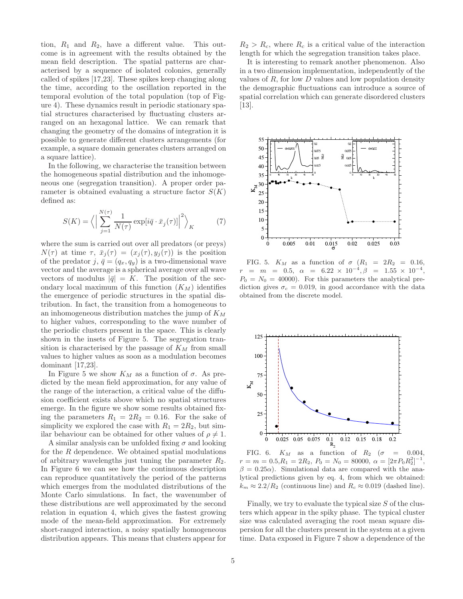tion,  $R_1$  and  $R_2$ , have a different value. This outcome is in agreement with the results obtained by the mean field description. The spatial patterns are characterised by a sequence of isolated colonies, generally called of spikes [17,23]. These spikes keep changing along the time, according to the oscillation reported in the temporal evolution of the total population (top of Figure 4). These dynamics result in periodic stationary spatial structures characterised by fluctuating clusters arranged on an hexagonal lattice. We can remark that changing the geometry of the domains of integration it is possible to generate different clusters arrangements (for example, a square domain generates clusters arranged on a square lattice).

In the following, we characterise the transition between the homogeneous spatial distribution and the inhomogeneous one (segregation transition). A proper order parameter is obtained evaluating a structure factor  $S(K)$ defined as:

$$
S(K) = \left\langle \left| \sum_{j=1}^{N(\tau)} \frac{1}{N(\tau)} \exp[i\bar{q} \cdot \bar{x}_j(\tau)] \right|^2 \right\rangle_K \tag{7}
$$

where the sum is carried out over all predators (or preys)  $N(\tau)$  at time  $\tau$ ,  $\bar{x}_j(\tau) = (x_j(\tau), y_j(\tau))$  is the position of the predator j,  $\bar{q} = (q_x, q_y)$  is a two-dimensional wave vector and the average is a spherical average over all wave vectors of modulus  $|\bar{q}| = K$ . The position of the secondary local maximum of this function  $(K_M)$  identifies the emergence of periodic structures in the spatial distribution. In fact, the transition from a homogeneous to an inhomogeneous distribution matches the jump of  $K_M$ to higher values, corresponding to the wave number of the periodic clusters present in the space. This is clearly shown in the insets of Figure 5. The segregation transition is characterised by the passage of  $K<sub>M</sub>$  from small values to higher values as soon as a modulation becomes dominant [17,23].

In Figure 5 we show  $K_M$  as a function of  $\sigma$ . As predicted by the mean field approximation, for any value of the range of the interaction, a critical value of the diffusion coefficient exists above which no spatial structures emerge. In the figure we show some results obtained fixing the parameters  $R_1 = 2R_2 = 0.16$ . For the sake of simplicity we explored the case with  $R_1 = 2R_2$ , but similar behaviour can be obtained for other values of  $\rho \neq 1$ .

A similar analysis can be unfolded fixing  $\sigma$  and looking for the R dependence. We obtained spatial modulations of arbitrary wavelengths just tuning the parameter  $R_2$ . In Figure 6 we can see how the continuous description can reproduce quantitatively the period of the patterns which emerges from the modulated distributions of the Monte Carlo simulations. In fact, the wavenumber of these distributions are well approximated by the second relation in equation 4, which gives the fastest growing mode of the mean-field approximation. For extremely short-ranged interaction, a noisy spatially homogeneous distribution appears. This means that clusters appear for

It is interesting to remark another phenomenon. Also in a two dimension implementation, independently of the values of  $R$ , for low  $D$  values and low population density the demographic fluctuations can introduce a source of spatial correlation which can generate disordered clusters [13].



FIG. 5.  $K_M$  as a function of  $\sigma$   $(R_1 = 2R_2 = 0.16,$  $r = m = 0.5, \alpha = 6.22 \times 10^{-4}, \beta = 1.55 \times 10^{-4},$  $P_0 = N_0 = 40000$ . For this parameters the analytical prediction gives  $\sigma_c = 0.019$ , in good accordance with the data obtained from the discrete model.



FIG. 6.  $K_M$  as a function of  $R_2$  ( $\sigma$  = 0.004,  $r = m = 0.5, R_1 = 2R_2, P_0 = N_0 = 80000, \ \alpha = [2\pi P_0 R_2^2]^{-1},$  $\beta = 0.25\alpha$ . Simulational data are compared with the analytical predictions given by eq. 4, from which we obtained:  $k_m \approx 2.2/R_2$  (continuous line) and  $R_c \approx 0.019$  (dashed line).

Finally, we try to evaluate the typical size  $S$  of the clusters which appear in the spiky phase. The typical cluster size was calculated averaging the root mean square dispersion for all the clusters present in the system at a given time. Data exposed in Figure 7 show a dependence of the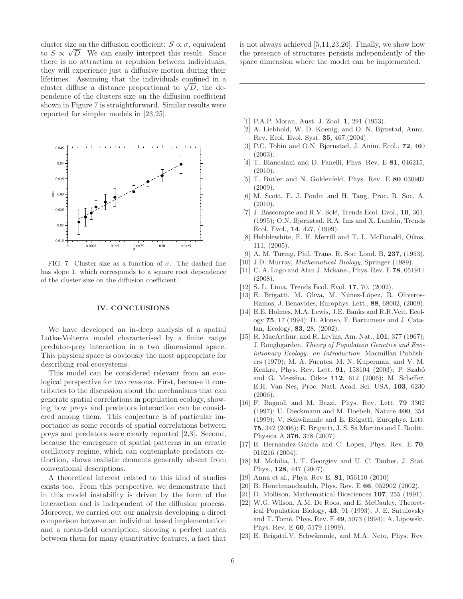cluster size on the diffusion coefficient:  $S \propto \sigma$ , equivalent to  $S \propto \sqrt{D}$ . We can easily interpret this result. Since there is no attraction or repulsion between individuals, they will experience just a diffusive motion during their lifetimes. Assuming that the individuals confined in a cluster diffuse a distance proportional to  $\sqrt{D}$ , the dependence of the clusters size on the diffusion coefficient shown in Figure 7 is straightforward. Similar results were reported for simpler models in [23,25].



FIG. 7. Cluster size as a function of  $\sigma$ . The dashed line has slope 1, which corresponds to a square root dependence of the cluster size on the diffusion coefficient.

# IV. CONCLUSIONS

We have developed an in-deep analysis of a spatial Lotka-Volterra model characterised by a finite range predator-prey interaction in a two dimensional space. This physical space is obviously the most appropriate for describing real ecosystems.

This model can be considered relevant from an ecological perspective for two reasons. First, because it contributes to the discussion about the mechanisms that can generate spatial correlations in population ecology, showing how preys and predators interaction can be considered among them. This conjecture is of particular importance as some records of spatial correlations between preys and predators were clearly reported [2,3]. Second, because the emergence of spatial patterns in an erratic oscillatory regime, which can contemplate predators extinction, shows realistic elements generally absent from conventional descriptions.

A theoretical interest related to this kind of studies exists too. From this perspective, we demonstrate that in this model instability is driven by the form of the interaction and is independent of the diffusion process. Moreover, we carried out our analysis developing a direct comparison between an individual based implementation and a mean-field description, showing a perfect match between them for many quantitative features, a fact that

is not always achieved [5,11,23,26]. Finally, we show how the presence of structures persists independently of the space dimension where the model can be implemented.

- [1] P.A.P. Moran, Aust. J. Zool. 1, 291 (1953).
- [2] A. Liebhold, W. D. Koenig, and O. N. Bjrnstad, Annu. Rev. Ecol. Evol. Syst. 35, 467,(2004).
- [3] P.C. Tobin and O.N. Bjørnstad, J. Anim. Ecol., 72, 460 (2003).
- [4] T. Biancalani and D. Fanelli, Phys. Rev. E 81, 046215, (2010).
- [5] T. Butler and N. Goldenfeld, Phys. Rev. E 80 030902 (2009).
- [6] M. Scott, F. J. Poulin and H. Tang, Proc. R. Soc. A, (2010).
- [7] J. Bascompte and R.V. Solé, Trends Ecol. Evol., 10, 361, (1995); O.N. Bjørnstad, R.A. Ims and X. Lambin, Trends Ecol. Evol., 14, 427, (1999).
- [8] Hebblewhite, E. H. Merrill and T. L. McDonald, Oikos, 111, (2005).
- [9] A. M. Turing, Phil. Trans. R. Soc. Lond. B, 237, (1953).
- [10] J.D. Murray, *Mathematical Biology*, Springer (1989).
- [11] C. A. Lugo and Alan J. Mckane., Phys. Rev. E 78, 051911 (2008).
- [12] S. L. Lima, Trends Ecol. Evol. 17, 70, (2002).
- [13] E. Brigatti, M. Oliva, M. Núñez-López, R. Oliveros-Ramos, J. Benavides, Europhys. Lett., 88, 68002, (2009).
- [14] E.E. Holmes, M.A. Lewis, J.E. Banks and R.R.Veit, Ecology 75, 17 (1994); D. Alonso, F. Bartumeus and J. Catalan, Ecology, 83, 28, (2002).
- [15] R. MacArthur, and R. Levins, Am. Nat., **101**, 377 (1967); J. Roughgarden, *Theory of Population Genetics and Evolutionary Ecology: an Introduction.* Macmillan Publishers (1979); M. A. Fuentes, M. N. Kuperman, and V. M. Kenkre, Phys. Rev. Lett. **91**, 158104 (2003); P. Szabó and G. Meszéna, Oikos 112, 612 (2006); M. Scheffer, E.H. Van Nes, Proc. Natl. Acad. Sci. USA, 103, 6230 (2006).
- [16] F. Bagnoli and M. Bezzi, Phys. Rev. Lett. 79 3302 (1997); U. Dieckmann and M. Doebeli, Nature 400, 354 (1999); V. Schwämmle and E. Brigatti, Europhys. Lett. 75, 342 (2006); E. Brigatti, J. S. Sá Martins and I. Roditi, Physica A 376, 378 (2007).
- [17] E. Hernandez-Garcia and C. Lopez, Phys. Rev. E 70, 016216 (2004).
- [18] M. Mobilia, I. T. Georgiev and U. C. Tauber, J. Stat. Phys., 128, 447 (2007).
- [19] Anna et al., Phys. Rev E, 81, 056110 (2010)
- [20] B. Houchmandzadeh, Phys. Rev. E 66, 052902 (2002).
- [21] D. Mollison, Mathematical Biosciences 107, 255 (1991).
- [22] W.G. Wilson, A.M. De Roos, and E. McCauley, Theoretical Population Biology, 43, 91 (1993); J. E. Satulovsky and T. Tomé, Phys. Rev. E 49, 5073 (1994); A. Lipowski, Phys. Rev. E 60, 5179 (1999).
- [23] E. Brigatti, V. Schwämmle, and M.A. Neto, Phys. Rev.